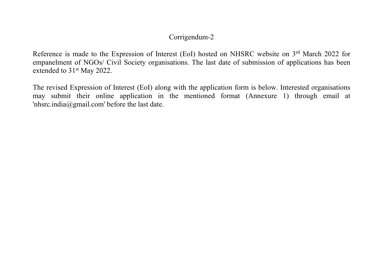# Corrigendum-2

Reference is made to the Expression of Interest (EoI) hosted on NHSRC website on 3<sup>rd</sup> March 2022 for empanelment of NGOs/ Civil Society organisations. The last date of submission of applications has been extended to 31<sup>st</sup> May 2022.

The revised Expression of Interest (EoI) along with the application form is below. Interested organisations may submit their online application in the mentioned format (Annexure 1) through email at 'nhsrc.india@gmail.com' before the last date.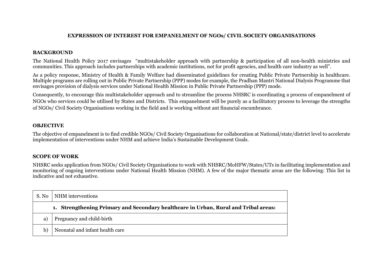# **EXPRESSION OF INTEREST FOR EMPANELMENT OF NGOs/ CIVIL SOCIETY ORGANISATIONS**

# **BACKGROUND**

The National Health Policy 2017 envisages "multistakeholder approach with partnership & participation of all non-health ministries and communities. This approach includes partnerships with academic institutions, not for profit agencies, and health care industry as well".

As a policy response, Ministry of Health & Family Welfare had disseminated guidelines for creating Public Private Partnership in healthcare. Multiple programs are rolling out in Public Private Partnership (PPP) modes for example, the Pradhan Mantri National Dialysis Programme that envisages provision of dialysis services under National Health Mission in Public Private Partnership (PPP) mode.

Consequently, to encourage this multistakeholder approach and to streamline the process NHSRC is coordinating a process of empanelment of NGOs who services could be utilised by States and Districts. This empanelment will be purely as a facilitatory process to leverage the strengths of NGOs/ Civil Society Organisations working in the field and is working without ant financial encumbrance.

#### **OBJECTIVE**

The objective of empanelment is to find credible NGOs/ Civil Society Organisations for collaboration at National/state/district level to accelerate implementation of interventions under NHM and achieve India's Sustainable Development Goals.

#### **SCOPE OF WORK**

NHSRC seeks application from NGOs/ Civil Society Organisations to work with NHSRC/MoHFW/States/UTs in facilitating implementation and monitoring of ongoing interventions under National Health Mission (NHM). A few of the major thematic areas are the following: This list in indicative and not exhaustive.

| S. No | NHM interventions                                                                   |  |  |
|-------|-------------------------------------------------------------------------------------|--|--|
|       | 1. Strengthening Primary and Secondary healthcare in Urban, Rural and Tribal areas: |  |  |
| a)    | Pregnancy and child-birth                                                           |  |  |
| b)    | Neonatal and infant health care                                                     |  |  |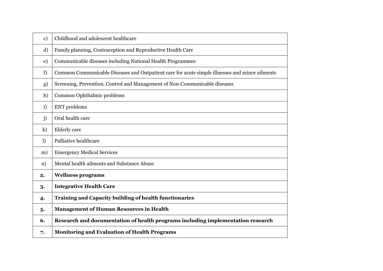| $\mathbf{c})$ | Childhood and adolescent healthcare                                                            |
|---------------|------------------------------------------------------------------------------------------------|
| d)            | Family planning, Contraception and Reproductive Health Care                                    |
| e)            | Communicable diseases including National Health Programmes                                     |
| f)            | Common Communicable Diseases and Outpatient care for acute simple illnesses and minor ailments |
| g)            | Screening, Prevention, Control and Management of Non-Communicable diseases                     |
| h)            | Common Ophthalmic problems                                                                     |
| $\mathbf{i}$  | <b>ENT</b> problems                                                                            |
| j)            | Oral health care                                                                               |
| k)            | <b>Elderly</b> care                                                                            |
| $\mathbf{I}$  | Palliative healthcare                                                                          |
| m)            | <b>Emergency Medical Services</b>                                                              |
| n)            | Mental health ailments and Substance Abuse                                                     |
| 2.            | <b>Wellness programs</b>                                                                       |
| 3.            | <b>Integrative Health Care</b>                                                                 |
| 4.            | <b>Training and Capacity building of health functionaries</b>                                  |
| 5.            | <b>Management of Human Resources in Health</b>                                                 |
| 6.            | Research and documentation of health programs including implementation research                |
| 7.            | <b>Monitoring and Evaluation of Health Programs</b>                                            |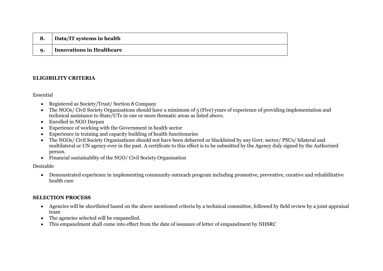|             | <sup>1</sup> Data/IT systems in health |
|-------------|----------------------------------------|
| $\mathbf Q$ | <b>Innovations in Healthcare</b>       |

# **ELIGIBILITY CRITERIA**

Essential

- Registered as Society/Trust/ Section 8 Company
- The NGOs/ Civil Society Organisations should have a minimum of 5 (Five) years of experience of providing implementation and technical assistance to State/UTs in one or more thematic areas as listed above.
- Enrolled in NGO Darpan
- Experience of working with the Government in health sector
- Experience in training and capacity building of health functionaries
- The NGOs/ Civil Society Organisations should not have been debarred or blacklisted by any Govt. sector/ PSUs/ bilateral and multilateral or UN agency ever in the past. A certificate to this effect is to be submitted by the Agency duly signed by the Authorized person.
- Financial sustainablity of the NGO/ Civil Society Organisation

Desirable

• Demonstrated experience in implementing community outreach program including promotive, preventive, curative and rehabilitative health care

# **SELECTION PROCESS**

- Agencies will be shortlisted based on the above mentioned criteria by a technical committee, followed by field review by a joint appraisal team
- The agencies selected will be empanelled.
- This empanelment shall come into effect from the date of issuance of letter of empanelment by NHSRC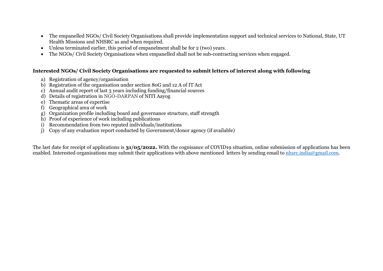- The empanelled NGOs/ Civil Society Organisations shall provide implementation support and technical services to National, State, UT Health Missions and NHSRC as and when required.
- Unless terminated earlier, this period of empanelment shall be for 2 (two) years.
- The NGOs/ Civil Society Organisations when empanelled shall not be sub-contracting services when engaged.

# **Interested NGOs/ Civil Society Organisations are requested to submit letters of interest along with following**

- a) Registration of agency/organisation
- b) Registration of the organisation under section 80G and 12 A of IT Act
- c) Annual audit report of last 3 years including funding/financial sources
- d) Details of registration in NGO-DARPAN of NITI Aayog
- e) Thematic areas of expertise
- f) Geographical area of work
- g) Organization profile including board and governance structure, staff strength
- h) Proof of experience of work including publications
- i) Recommendation from two reputed individuals/institutions
- j) Copy of any evaluation report conducted by Government/donor agency (if available)

The last date for receipt of applications is **31/05/2022.** With the cognisance of COVID19 situation, online submission of applications has been enabled. Interested organisations may submit their applications with above mentioned letters by sending email to [nhsrc.india@gmail.com.](http://nhsrc.india@gmail.com)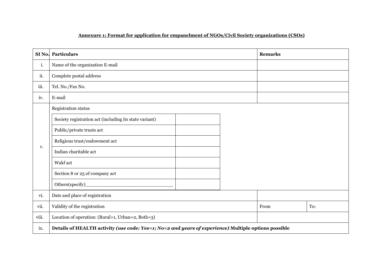# **Annexure 1: Format for application for empanelment of NGOs/Civil Society organizations (CSOs)**

| SI <sub>No.</sub> | Particulars                                                                                          | <b>Remarks</b> |  |
|-------------------|------------------------------------------------------------------------------------------------------|----------------|--|
| i.                | Name of the organization E-mail                                                                      |                |  |
| ii.               | Complete postal address                                                                              |                |  |
| iii.              | Tel. No./Fax No.                                                                                     |                |  |
| iv.               | E-mail                                                                                               |                |  |
|                   | Registration status                                                                                  |                |  |
|                   | Society registration act (including its state variant)                                               |                |  |
|                   | Public/private trusts act                                                                            |                |  |
|                   | Religious trust/endowment act                                                                        |                |  |
| V.                | Indian charitable act                                                                                |                |  |
|                   | Wakf act                                                                                             |                |  |
|                   | Section 8 or 25 of company act                                                                       |                |  |
|                   | Others(specify)                                                                                      |                |  |
| vi.               | Date and place of registration                                                                       |                |  |
| vii.              | Validity of the registration                                                                         | From<br>To:    |  |
| viii.             | Location of operation: (Rural=1, Urban=2, Both=3)                                                    |                |  |
| ix.               | Details of HEALTH activity (use code: Yes=1; No=2 and years of experience) Multiple options possible |                |  |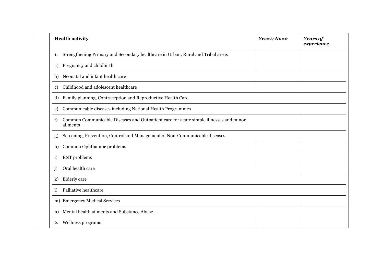| <b>Health activity</b>                                                                                  | $Yes=1; No=2$ | <b>Years of</b><br>experience |
|---------------------------------------------------------------------------------------------------------|---------------|-------------------------------|
| Strengthening Primary and Secondary healthcare in Urban, Rural and Tribal areas<br>1.                   |               |                               |
| Pregnancy and childbirth<br>a)                                                                          |               |                               |
| Neonatal and infant health care<br>b)                                                                   |               |                               |
| Childhood and adolescent healthcare<br>c)                                                               |               |                               |
| Family planning, Contraception and Reproductive Health Care<br>d)                                       |               |                               |
| Communicable diseases including National Health Programmes<br>e)                                        |               |                               |
| Common Communicable Diseases and Outpatient care for acute simple illnesses and minor<br>f)<br>ailments |               |                               |
| Screening, Prevention, Control and Management of Non-Communicable diseases<br>g)                        |               |                               |
| Common Ophthalmic problems<br>h)                                                                        |               |                               |
| <b>ENT</b> problems<br>i)                                                                               |               |                               |
| Oral health care<br>$\rm j)$                                                                            |               |                               |
| Elderly care<br>k)                                                                                      |               |                               |
| Palliative healthcare<br>$\bf l$                                                                        |               |                               |
| m) Emergency Medical Services                                                                           |               |                               |
| Mental health ailments and Substance Abuse<br>n)                                                        |               |                               |
| Wellness programs<br>2.                                                                                 |               |                               |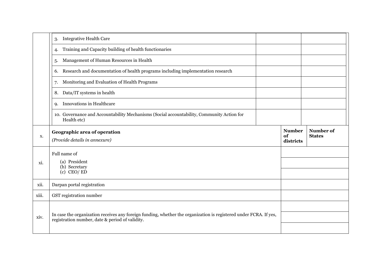|       | <b>Integrative Health Care</b><br>3.                                                                                                                                 |  |                                  |                            |
|-------|----------------------------------------------------------------------------------------------------------------------------------------------------------------------|--|----------------------------------|----------------------------|
|       | Training and Capacity building of health functionaries<br>4.                                                                                                         |  |                                  |                            |
|       | Management of Human Resources in Health<br>5.                                                                                                                        |  |                                  |                            |
|       | Research and documentation of health programs including implementation research<br>6.                                                                                |  |                                  |                            |
|       | Monitoring and Evaluation of Health Programs<br>7.                                                                                                                   |  |                                  |                            |
|       | Data/IT systems in health<br>8.                                                                                                                                      |  |                                  |                            |
|       | Innovations in Healthcare<br>9.                                                                                                                                      |  |                                  |                            |
|       | 10. Governance and Accountability Mechanisms (Social accountability, Community Action for<br>Health etc)                                                             |  |                                  |                            |
| X.    | Geographic area of operation<br>(Provide details in annexure)                                                                                                        |  | <b>Number</b><br>of<br>districts | Number of<br><b>States</b> |
| xi.   | Full name of<br>(a) President<br>(b) Secretary<br>$(c)$ CEO/ED                                                                                                       |  |                                  |                            |
| xii.  | Darpan portal registration                                                                                                                                           |  |                                  |                            |
| xiii. | GST registration number                                                                                                                                              |  |                                  |                            |
| xiv.  | In case the organization receives any foreign funding, whether the organization is registered under FCRA. If yes,<br>registration number, date & period of validity. |  |                                  |                            |